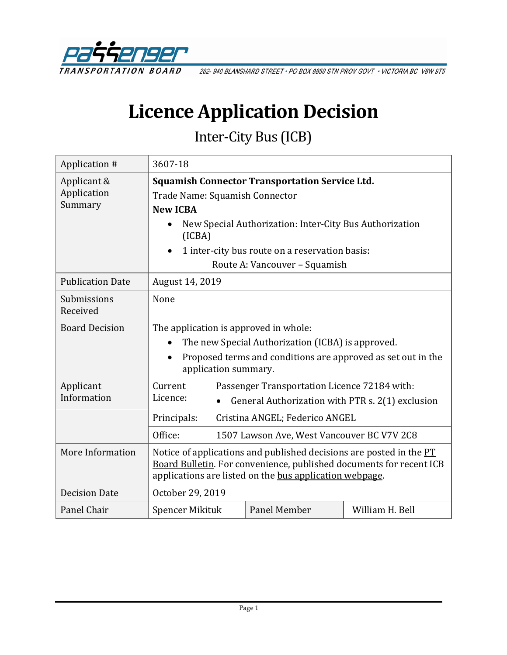

202-940 BLANSHARD STREET · PO BOX 9850 STN PROV GOVT · VICTORIA BC V8W 9T5

# **Licence Application Decision**

Inter-City Bus (ICB)

| Application #                         | 3607-18                                                                                                                                                                                               |                                                  |                 |
|---------------------------------------|-------------------------------------------------------------------------------------------------------------------------------------------------------------------------------------------------------|--------------------------------------------------|-----------------|
| Applicant &<br>Application<br>Summary | <b>Squamish Connector Transportation Service Ltd.</b>                                                                                                                                                 |                                                  |                 |
|                                       | Trade Name: Squamish Connector                                                                                                                                                                        |                                                  |                 |
|                                       | <b>New ICBA</b>                                                                                                                                                                                       |                                                  |                 |
|                                       | New Special Authorization: Inter-City Bus Authorization<br>(ICBA)                                                                                                                                     |                                                  |                 |
|                                       | 1 inter-city bus route on a reservation basis:                                                                                                                                                        |                                                  |                 |
|                                       | Route A: Vancouver - Squamish                                                                                                                                                                         |                                                  |                 |
| <b>Publication Date</b>               | August 14, 2019                                                                                                                                                                                       |                                                  |                 |
| Submissions<br>Received               | None                                                                                                                                                                                                  |                                                  |                 |
| <b>Board Decision</b>                 | The application is approved in whole:                                                                                                                                                                 |                                                  |                 |
|                                       | The new Special Authorization (ICBA) is approved.<br>$\bullet$                                                                                                                                        |                                                  |                 |
|                                       | Proposed terms and conditions are approved as set out in the<br>$\bullet$<br>application summary.                                                                                                     |                                                  |                 |
| Applicant<br>Information              | Current                                                                                                                                                                                               | Passenger Transportation Licence 72184 with:     |                 |
|                                       | Licence:<br>$\bullet$                                                                                                                                                                                 | General Authorization with PTR s. 2(1) exclusion |                 |
|                                       | Cristina ANGEL; Federico ANGEL<br>Principals:                                                                                                                                                         |                                                  |                 |
|                                       | Office:<br>1507 Lawson Ave, West Vancouver BC V7V 2C8                                                                                                                                                 |                                                  |                 |
| More Information                      | Notice of applications and published decisions are posted in the PT<br>Board Bulletin. For convenience, published documents for recent ICB<br>applications are listed on the bus application webpage. |                                                  |                 |
| <b>Decision Date</b>                  | October 29, 2019                                                                                                                                                                                      |                                                  |                 |
| Panel Chair                           | Spencer Mikituk                                                                                                                                                                                       | Panel Member                                     | William H. Bell |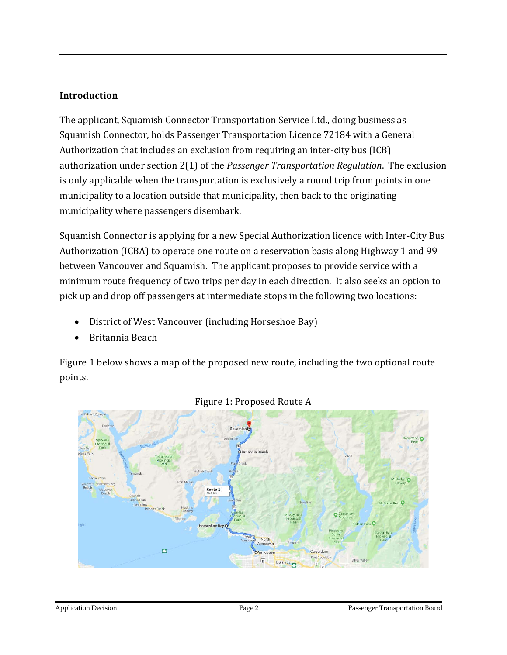## **Introduction**

The applicant, Squamish Connector Transportation Service Ltd., doing business as Squamish Connector, holds Passenger Transportation Licence 72184 with a General Authorization that includes an exclusion from requiring an inter-city bus (ICB) authorization under section 2(1) of the *Passenger Transportation Regulation*. The exclusion is only applicable when the transportation is exclusively a round trip from points in one municipality to a location outside that municipality, then back to the originating municipality where passengers disembark.

Squamish Connector is applying for a new Special Authorization licence with Inter-City Bus Authorization (ICBA) to operate one route on a reservation basis along Highway 1 and 99 between Vancouver and Squamish. The applicant proposes to provide service with a minimum route frequency of two trips per day in each direction. It also seeks an option to pick up and drop off passengers at intermediate stops in the following two locations:

- District of West Vancouver (including Horseshoe Bay)
- Britannia Beach

Figure 1 below shows a map of the proposed new route, including the two optional route points.



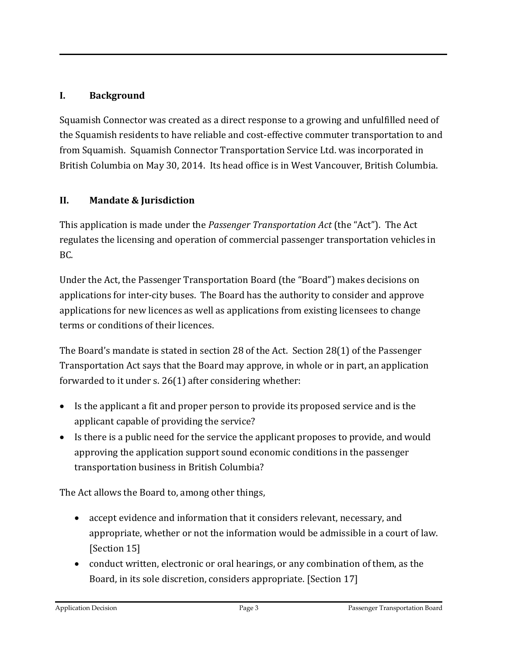# **I. Background**

Squamish Connector was created as a direct response to a growing and unfulfilled need of the Squamish residents to have reliable and cost-effective commuter transportation to and from Squamish. Squamish Connector Transportation Service Ltd. was incorporated in British Columbia on May 30, 2014. Its head office is in West Vancouver, British Columbia.

# **II. Mandate & Jurisdiction**

This application is made under the *Passenger Transportation Act* (the "Act"). The Act regulates the licensing and operation of commercial passenger transportation vehicles in BC.

Under the Act, the Passenger Transportation Board (the "Board") makes decisions on applications for inter-city buses. The Board has the authority to consider and approve applications for new licences as well as applications from existing licensees to change terms or conditions of their licences.

The Board's mandate is stated in section 28 of the Act. Section 28(1) of the Passenger Transportation Act says that the Board may approve, in whole or in part, an application forwarded to it under s. 26(1) after considering whether:

- Is the applicant a fit and proper person to provide its proposed service and is the applicant capable of providing the service?
- Is there is a public need for the service the applicant proposes to provide, and would approving the application support sound economic conditions in the passenger transportation business in British Columbia?

The Act allows the Board to, among other things,

- accept evidence and information that it considers relevant, necessary, and appropriate, whether or not the information would be admissible in a court of law. [Section 15]
- conduct written, electronic or oral hearings, or any combination of them, as the Board, in its sole discretion, considers appropriate. [Section 17]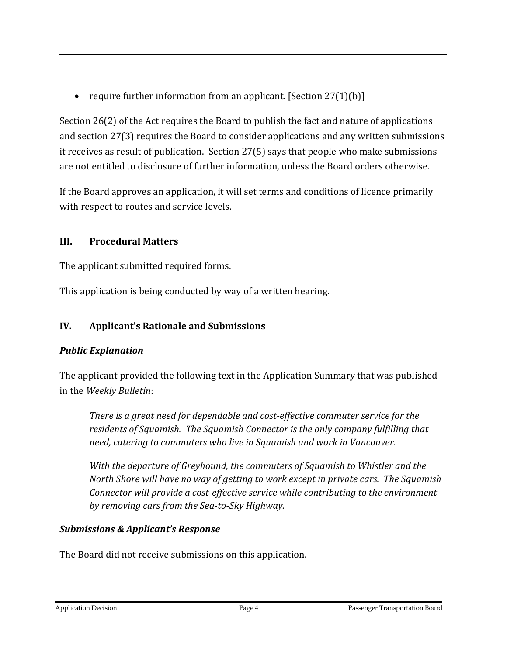• require further information from an applicant. [Section 27(1)(b)]

Section 26(2) of the Act requires the Board to publish the fact and nature of applications and section 27(3) requires the Board to consider applications and any written submissions it receives as result of publication. Section 27(5) says that people who make submissions are not entitled to disclosure of further information, unless the Board orders otherwise.

If the Board approves an application, it will set terms and conditions of licence primarily with respect to routes and service levels.

# **III. Procedural Matters**

The applicant submitted required forms.

This application is being conducted by way of a written hearing.

# **IV. Applicant's Rationale and Submissions**

## *Public Explanation*

The applicant provided the following text in the Application Summary that was published in the *Weekly Bulletin*:

*There is a great need for dependable and cost-effective commuter service for the residents of Squamish. The Squamish Connector is the only company fulfilling that need, catering to commuters who live in Squamish and work in Vancouver.*

*With the departure of Greyhound, the commuters of Squamish to Whistler and the North Shore will have no way of getting to work except in private cars. The Squamish Connector will provide a cost-effective service while contributing to the environment by removing cars from the Sea-to-Sky Highway.* 

## *Submissions & Applicant's Response*

The Board did not receive submissions on this application.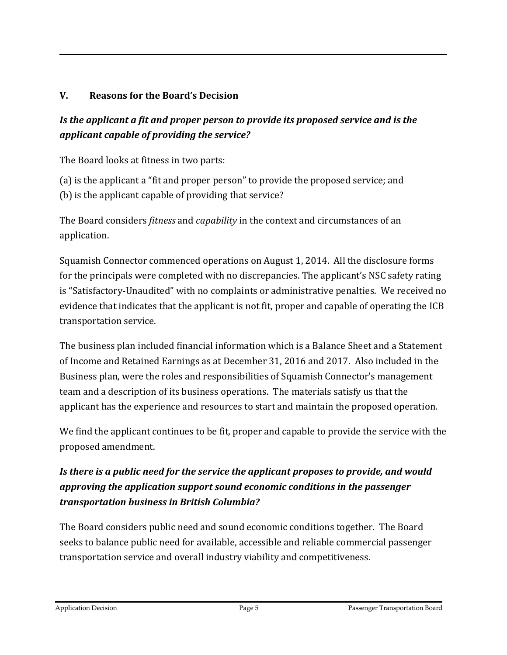# **V. Reasons for the Board's Decision**

# *Is the applicant a fit and proper person to provide its proposed service and is the applicant capable of providing the service?*

The Board looks at fitness in two parts:

(a) is the applicant a "fit and proper person" to provide the proposed service; and (b) is the applicant capable of providing that service?

The Board considers *fitness* and *capability* in the context and circumstances of an application.

Squamish Connector commenced operations on August 1, 2014. All the disclosure forms for the principals were completed with no discrepancies. The applicant's NSC safety rating is "Satisfactory-Unaudited" with no complaints or administrative penalties. We received no evidence that indicates that the applicant is not fit, proper and capable of operating the ICB transportation service.

The business plan included financial information which is a Balance Sheet and a Statement of Income and Retained Earnings as at December 31, 2016 and 2017. Also included in the Business plan, were the roles and responsibilities of Squamish Connector's management team and a description of its business operations. The materials satisfy us that the applicant has the experience and resources to start and maintain the proposed operation.

We find the applicant continues to be fit, proper and capable to provide the service with the proposed amendment.

# *Is there is a public need for the service the applicant proposes to provide, and would approving the application support sound economic conditions in the passenger transportation business in British Columbia?*

The Board considers public need and sound economic conditions together. The Board seeks to balance public need for available, accessible and reliable commercial passenger transportation service and overall industry viability and competitiveness.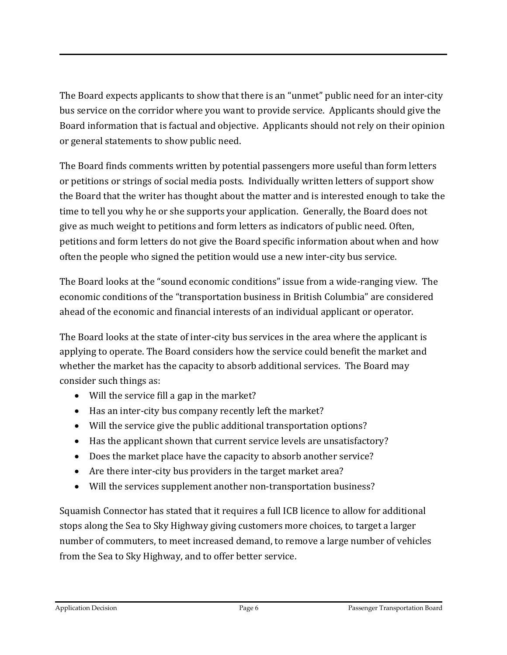The Board expects applicants to show that there is an "unmet" public need for an inter-city bus service on the corridor where you want to provide service. Applicants should give the Board information that is factual and objective. Applicants should not rely on their opinion or general statements to show public need.

The Board finds comments written by potential passengers more useful than form letters or petitions or strings of social media posts. Individually written letters of support show the Board that the writer has thought about the matter and is interested enough to take the time to tell you why he or she supports your application. Generally, the Board does not give as much weight to petitions and form letters as indicators of public need. Often, petitions and form letters do not give the Board specific information about when and how often the people who signed the petition would use a new inter-city bus service.

The Board looks at the "sound economic conditions" issue from a wide-ranging view. The economic conditions of the "transportation business in British Columbia" are considered ahead of the economic and financial interests of an individual applicant or operator.

The Board looks at the state of inter-city bus services in the area where the applicant is applying to operate. The Board considers how the service could benefit the market and whether the market has the capacity to absorb additional services. The Board may consider such things as:

- Will the service fill a gap in the market?
- Has an inter-city bus company recently left the market?
- Will the service give the public additional transportation options?
- Has the applicant shown that current service levels are unsatisfactory?
- Does the market place have the capacity to absorb another service?
- Are there inter-city bus providers in the target market area?
- Will the services supplement another non-transportation business?

Squamish Connector has stated that it requires a full ICB licence to allow for additional stops along the Sea to Sky Highway giving customers more choices, to target a larger number of commuters, to meet increased demand, to remove a large number of vehicles from the Sea to Sky Highway, and to offer better service.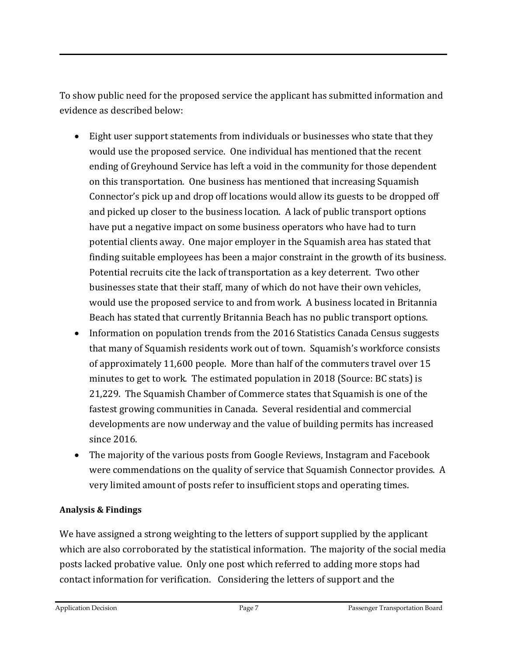To show public need for the proposed service the applicant has submitted information and evidence as described below:

- Eight user support statements from individuals or businesses who state that they would use the proposed service. One individual has mentioned that the recent ending of Greyhound Service has left a void in the community for those dependent on this transportation. One business has mentioned that increasing Squamish Connector's pick up and drop off locations would allow its guests to be dropped off and picked up closer to the business location. A lack of public transport options have put a negative impact on some business operators who have had to turn potential clients away. One major employer in the Squamish area has stated that finding suitable employees has been a major constraint in the growth of its business. Potential recruits cite the lack of transportation as a key deterrent. Two other businesses state that their staff, many of which do not have their own vehicles, would use the proposed service to and from work. A business located in Britannia Beach has stated that currently Britannia Beach has no public transport options.
- Information on population trends from the 2016 Statistics Canada Census suggests that many of Squamish residents work out of town. Squamish's workforce consists of approximately 11,600 people. More than half of the commuters travel over 15 minutes to get to work. The estimated population in 2018 (Source: BC stats) is 21,229. The Squamish Chamber of Commerce states that Squamish is one of the fastest growing communities in Canada. Several residential and commercial developments are now underway and the value of building permits has increased since 2016.
- The majority of the various posts from Google Reviews, Instagram and Facebook were commendations on the quality of service that Squamish Connector provides. A very limited amount of posts refer to insufficient stops and operating times.

#### **Analysis & Findings**

We have assigned a strong weighting to the letters of support supplied by the applicant which are also corroborated by the statistical information. The majority of the social media posts lacked probative value. Only one post which referred to adding more stops had contact information for verification. Considering the letters of support and the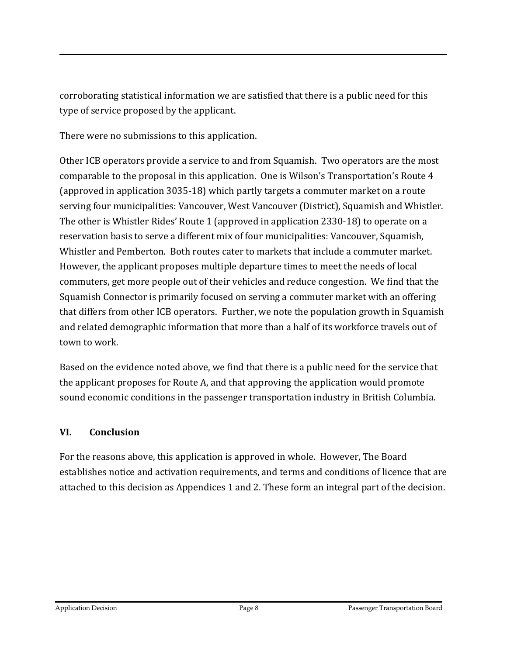corroborating statistical information we are satisfied that there is a public need for this type of service proposed by the applicant.

There were no submissions to this application.

Other ICB operators provide a service to and from Squamish. Two operators are the most comparable to the proposal in this application. One is Wilson's Transportation's Route 4 (approved in application 3035-18) which partly targets a commuter market on a route serving four municipalities: Vancouver, West Vancouver (District), Squamish and Whistler. The other is Whistler Rides' Route 1 (approved in application 2330-18) to operate on a reservation basis to serve a different mix of four municipalities: Vancouver, Squamish, Whistler and Pemberton. Both routes cater to markets that include a commuter market. However, the applicant proposes multiple departure times to meet the needs of local commuters, get more people out of their vehicles and reduce congestion. We find that the Squamish Connector is primarily focused on serving a commuter market with an offering that differs from other ICB operators. Further, we note the population growth in Squamish and related demographic information that more than a half of its workforce travels out of town to work.

Based on the evidence noted above, we find that there is a public need for the service that the applicant proposes for Route A, and that approving the application would promote sound economic conditions in the passenger transportation industry in British Columbia.

## **VI. Conclusion**

For the reasons above, this application is approved in whole. However, The Board establishes notice and activation requirements, and terms and conditions of licence that are attached to this decision as Appendices 1 and 2. These form an integral part of the decision.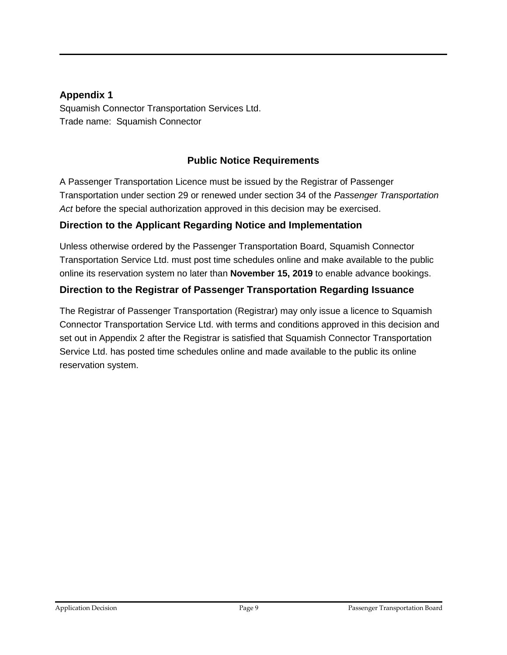#### **Appendix 1**

Squamish Connector Transportation Services Ltd. Trade name: Squamish Connector

## **Public Notice Requirements**

A Passenger Transportation Licence must be issued by the Registrar of Passenger Transportation under section 29 or renewed under section 34 of the *Passenger Transportation Act* before the special authorization approved in this decision may be exercised.

### **Direction to the Applicant Regarding Notice and Implementation**

Unless otherwise ordered by the Passenger Transportation Board, Squamish Connector Transportation Service Ltd. must post time schedules online and make available to the public online its reservation system no later than **November 15, 2019** to enable advance bookings.

### **Direction to the Registrar of Passenger Transportation Regarding Issuance**

The Registrar of Passenger Transportation (Registrar) may only issue a licence to Squamish Connector Transportation Service Ltd. with terms and conditions approved in this decision and set out in Appendix 2 after the Registrar is satisfied that Squamish Connector Transportation Service Ltd. has posted time schedules online and made available to the public its online reservation system.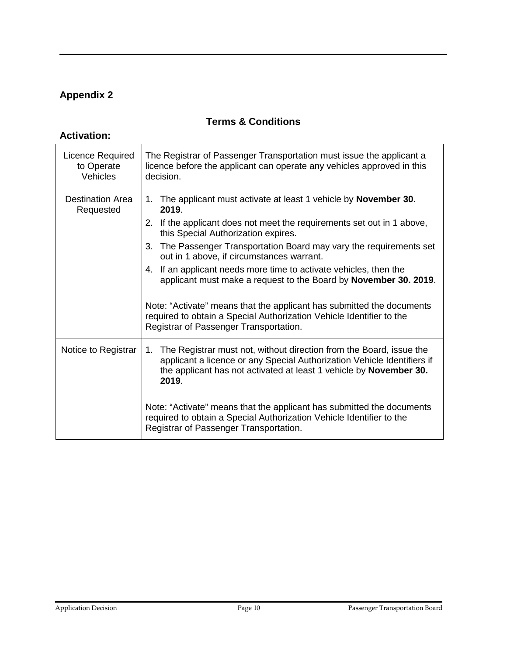# **Appendix 2**

## **Terms & Conditions**

## **Activation:**

| Licence Required<br>to Operate<br>Vehicles | The Registrar of Passenger Transportation must issue the applicant a<br>licence before the applicant can operate any vehicles approved in this<br>decision.                                                                         |  |  |
|--------------------------------------------|-------------------------------------------------------------------------------------------------------------------------------------------------------------------------------------------------------------------------------------|--|--|
| Destination Area<br>Requested              | The applicant must activate at least 1 vehicle by <b>November 30.</b><br>1.<br>2019.                                                                                                                                                |  |  |
|                                            | If the applicant does not meet the requirements set out in 1 above,<br>2.<br>this Special Authorization expires.                                                                                                                    |  |  |
|                                            | The Passenger Transportation Board may vary the requirements set<br>3.<br>out in 1 above, if circumstances warrant.                                                                                                                 |  |  |
|                                            | If an applicant needs more time to activate vehicles, then the<br>4.<br>applicant must make a request to the Board by November 30. 2019.                                                                                            |  |  |
|                                            | Note: "Activate" means that the applicant has submitted the documents<br>required to obtain a Special Authorization Vehicle Identifier to the<br>Registrar of Passenger Transportation.                                             |  |  |
| Notice to Registrar                        | The Registrar must not, without direction from the Board, issue the<br>1.<br>applicant a licence or any Special Authorization Vehicle Identifiers if<br>the applicant has not activated at least 1 vehicle by November 30.<br>2019. |  |  |
|                                            | Note: "Activate" means that the applicant has submitted the documents<br>required to obtain a Special Authorization Vehicle Identifier to the<br>Registrar of Passenger Transportation.                                             |  |  |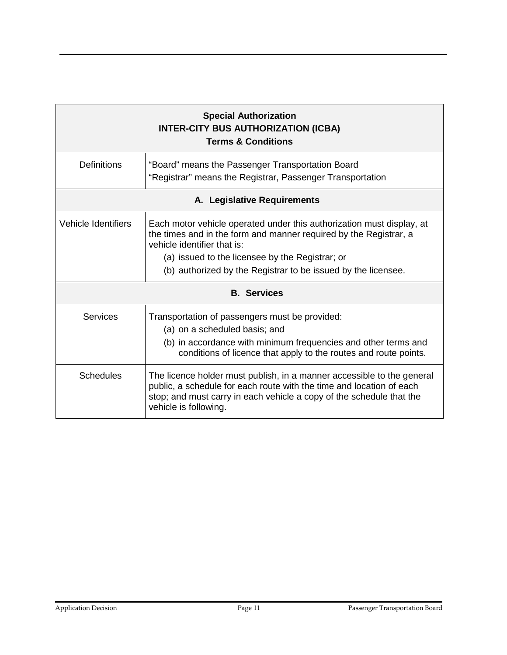| <b>Special Authorization</b><br><b>INTER-CITY BUS AUTHORIZATION (ICBA)</b><br><b>Terms &amp; Conditions</b> |                                                                                                                                                                                                                                                                                               |  |  |
|-------------------------------------------------------------------------------------------------------------|-----------------------------------------------------------------------------------------------------------------------------------------------------------------------------------------------------------------------------------------------------------------------------------------------|--|--|
| <b>Definitions</b>                                                                                          | "Board" means the Passenger Transportation Board<br>"Registrar" means the Registrar, Passenger Transportation                                                                                                                                                                                 |  |  |
| A. Legislative Requirements                                                                                 |                                                                                                                                                                                                                                                                                               |  |  |
| Vehicle Identifiers                                                                                         | Each motor vehicle operated under this authorization must display, at<br>the times and in the form and manner required by the Registrar, a<br>vehicle identifier that is:<br>(a) issued to the licensee by the Registrar; or<br>(b) authorized by the Registrar to be issued by the licensee. |  |  |
| <b>B.</b> Services                                                                                          |                                                                                                                                                                                                                                                                                               |  |  |
| Services                                                                                                    | Transportation of passengers must be provided:<br>(a) on a scheduled basis; and<br>(b) in accordance with minimum frequencies and other terms and<br>conditions of licence that apply to the routes and route points.                                                                         |  |  |
| <b>Schedules</b>                                                                                            | The licence holder must publish, in a manner accessible to the general<br>public, a schedule for each route with the time and location of each<br>stop; and must carry in each vehicle a copy of the schedule that the<br>vehicle is following.                                               |  |  |